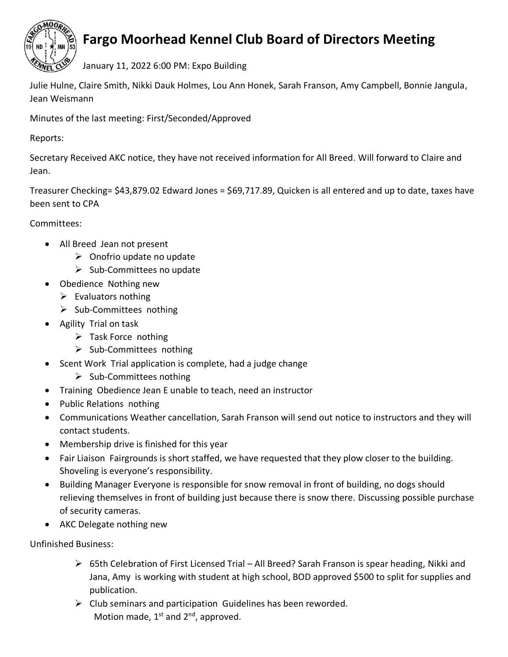

## **Fargo Moorhead Kennel Club Board of Directors Meeting**

January 11, 2022 6:00 PM: Expo Building

Julie Hulne, Claire Smith, Nikki Dauk Holmes, Lou Ann Honek, Sarah Franson, Amy Campbell, Bonnie Jangula, Jean Weismann

Minutes of the last meeting: First/Seconded/Approved

Reports:

Secretary Received AKC notice, they have not received information for All Breed. Will forward to Claire and Jean.

Treasurer Checking= \$43,879.02 Edward Jones = \$69,717.89, Quicken is all entered and up to date, taxes have been sent to CPA

Committees:

- All Breed Jean not present
	- ➢ Onofrio update no update
	- ➢ Sub-Committees no update
- Obedience Nothing new
	- $\triangleright$  Evaluators nothing
	- ➢ Sub-Committees nothing
- Agility Trial on task
	- ➢ Task Force nothing
	- ➢ Sub-Committees nothing
- Scent Work Trial application is complete, had a judge change
	- ➢ Sub-Committees nothing
- Training Obedience Jean E unable to teach, need an instructor
- Public Relations nothing
- Communications Weather cancellation, Sarah Franson will send out notice to instructors and they will contact students.
- Membership drive is finished for this year
- Fair Liaison Fairgrounds is short staffed, we have requested that they plow closer to the building. Shoveling is everyone's responsibility.
- Building Manager Everyone is responsible for snow removal in front of building, no dogs should relieving themselves in front of building just because there is snow there. Discussing possible purchase of security cameras.
- AKC Delegate nothing new

Unfinished Business:

- $\triangleright$  65th Celebration of First Licensed Trial All Breed? Sarah Franson is spear heading, Nikki and Jana, Amy is working with student at high school, BOD approved \$500 to split for supplies and publication.
- $\triangleright$  Club seminars and participation Guidelines has been reworded. Motion made,  $1<sup>st</sup>$  and  $2<sup>nd</sup>$ , approved.